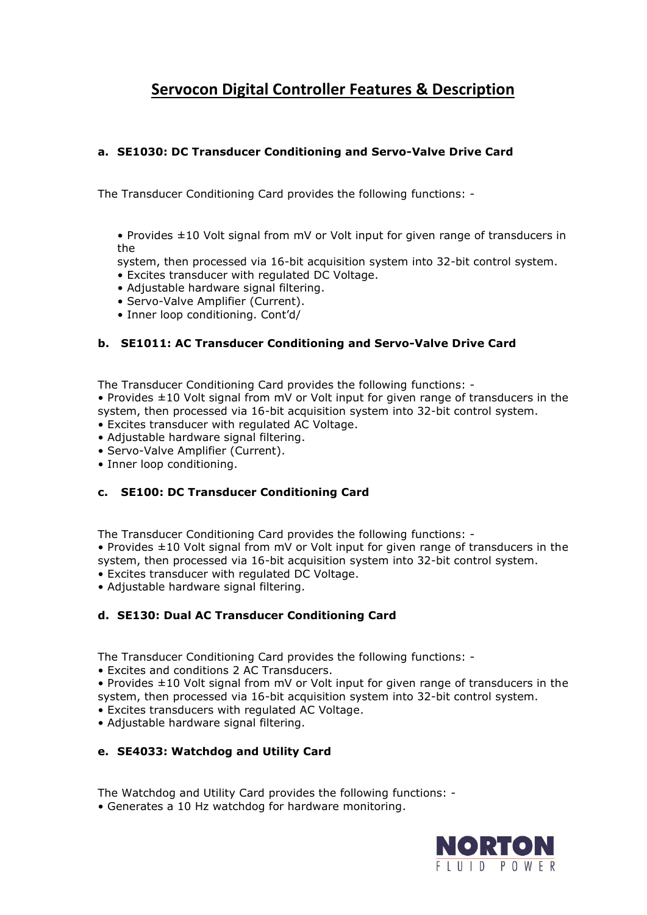# **Servocon Digital Controller Features & Description**

## **a. SE1030: DC Transducer Conditioning and Servo-Valve Drive Card**

The Transducer Conditioning Card provides the following functions: -

- Provides ±10 Volt signal from mV or Volt input for given range of transducers in the
- system, then processed via 16-bit acquisition system into 32-bit control system.
- Excites transducer with regulated DC Voltage.
- Adjustable hardware signal filtering.
- Servo-Valve Amplifier (Current).
- Inner loop conditioning. Cont'd/

#### **b. SE1011: AC Transducer Conditioning and Servo-Valve Drive Card**

The Transducer Conditioning Card provides the following functions: -

• Provides ±10 Volt signal from mV or Volt input for given range of transducers in the system, then processed via 16-bit acquisition system into 32-bit control system.

- Excites transducer with regulated AC Voltage.
- Adjustable hardware signal filtering.
- Servo-Valve Amplifier (Current).
- Inner loop conditioning.

#### **c. SE100: DC Transducer Conditioning Card**

The Transducer Conditioning Card provides the following functions: -

• Provides ±10 Volt signal from mV or Volt input for given range of transducers in the system, then processed via 16-bit acquisition system into 32-bit control system.

- Excites transducer with regulated DC Voltage.
- Adjustable hardware signal filtering.

#### **d. SE130: Dual AC Transducer Conditioning Card**

The Transducer Conditioning Card provides the following functions: -

• Excites and conditions 2 AC Transducers.

• Provides ±10 Volt signal from mV or Volt input for given range of transducers in the system, then processed via 16-bit acquisition system into 32-bit control system.

- Excites transducers with regulated AC Voltage.
- Adjustable hardware signal filtering.

#### **e. SE4033: Watchdog and Utility Card**

The Watchdog and Utility Card provides the following functions: -

• Generates a 10 Hz watchdog for hardware monitoring.